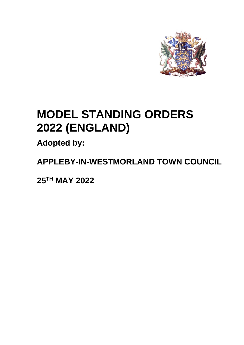

# **MODEL STANDING ORDERS 2022 (ENGLAND)**

**Adopted by:**

**APPLEBY-IN-WESTMORLAND TOWN COUNCIL** 

**25TH MAY 2022**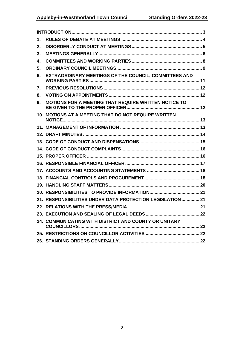| 1. |                                                           |
|----|-----------------------------------------------------------|
| 2. |                                                           |
| 3. |                                                           |
| 4. |                                                           |
| 5. |                                                           |
| 6. | EXTRAORDINARY MEETINGS OF THE COUNCIL, COMMITTEES AND     |
| 7. |                                                           |
| 8. |                                                           |
| 9. | MOTIONS FOR A MEETING THAT REQUIRE WRITTEN NOTICE TO      |
|    | 10. MOTIONS AT A MEETING THAT DO NOT REQUIRE WRITTEN      |
|    |                                                           |
|    |                                                           |
|    |                                                           |
|    |                                                           |
|    |                                                           |
|    |                                                           |
|    |                                                           |
|    |                                                           |
|    |                                                           |
|    |                                                           |
|    | 21. RESPONSIBILITIES UNDER DATA PROTECTION LEGISLATION 21 |
|    |                                                           |
|    |                                                           |
|    | 24. COMMUNICATING WITH DISTRICT AND COUNTY OR UNITARY     |
|    |                                                           |
|    |                                                           |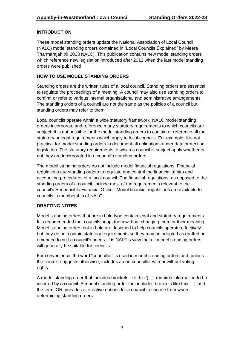#### <span id="page-2-0"></span>**INTRODUCTION**

These model standing orders update the National Association of Local Council (NALC) model standing orders contained in "Local Councils Explained" by Meera Tharmarajah (© 2013 NALC). This publication contains new model standing orders which reference new legislation introduced after 2013 when the last model standing orders were published.

#### **HOW TO USE MODEL STANDING ORDERS**

Standing orders are the written rules of a local council. Standing orders are essential to regulate the proceedings of a meeting. A council may also use standing orders to confirm or refer to various internal organisational and administrative arrangements. The standing orders of a council are not the same as the policies of a council but standing orders may refer to them.

Local councils operate within a wide statutory framework. NALC model standing orders incorporate and reference many statutory requirements to which councils are subject. It is not possible for the model standing orders to contain or reference all the statutory or legal requirements which apply to local councils. For example, it is not practical for model standing orders to document all obligations under data protection legislation. The statutory requirements to which a council is subject apply whether or not they are incorporated in a council's standing orders.

The model standing orders do not include model financial regulations. Financial regulations are standing orders to regulate and control the financial affairs and accounting procedures of a local council. The financial regulations, as opposed to the standing orders of a council, include most of the requirements relevant to the council's Responsible Financial Officer. Model financial regulations are available to councils in membership of NALC.

#### **DRAFTING NOTES**

Model standing orders that are in bold type contain legal and statutory requirements. It is recommended that councils adopt them without changing them or their meaning. Model standing orders not in bold are designed to help councils operate effectively but they do not contain statutory requirements so they may be adopted as drafted or amended to suit a council's needs. It is NALC's view that all model standing orders will generally be suitable for councils.

For convenience, the word "councillor" is used in model standing orders and, unless the context suggests otherwise, includes a non-councillor with or without voting rights.

A model standing order that includes brackets like this '( )' requires information to be inserted by a council. A model standing order that includes brackets like this '[ ]' and the term 'OR' provides alternative options for a council to choose from when determining standing orders.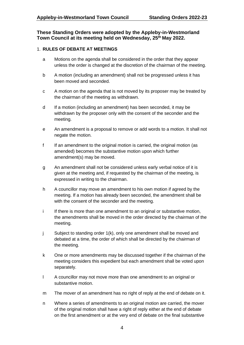#### **These Standing Orders were adopted by the Appleby-in-Westmorland Town Council at its meeting held on Wednesday, 25th May 2022.**

#### <span id="page-3-0"></span>1. **RULES OF DEBATE AT MEETINGS**

- a Motions on the agenda shall be considered in the order that they appear unless the order is changed at the discretion of the chairman of the meeting.
- b A motion (including an amendment) shall not be progressed unless it has been moved and seconded.
- c A motion on the agenda that is not moved by its proposer may be treated by the chairman of the meeting as withdrawn.
- d If a motion (including an amendment) has been seconded, it may be withdrawn by the proposer only with the consent of the seconder and the meeting.
- e An amendment is a proposal to remove or add words to a motion. It shall not negate the motion.
- f If an amendment to the original motion is carried, the original motion (as amended) becomes the substantive motion upon which further amendment(s) may be moved.
- g An amendment shall not be considered unless early verbal notice of it is given at the meeting and, if requested by the chairman of the meeting, is expressed in writing to the chairman.
- h A councillor may move an amendment to his own motion if agreed by the meeting. If a motion has already been seconded, the amendment shall be with the consent of the seconder and the meeting.
- i If there is more than one amendment to an original or substantive motion, the amendments shall be moved in the order directed by the chairman of the meeting.
- j Subject to standing order 1(k), only one amendment shall be moved and debated at a time, the order of which shall be directed by the chairman of the meeting.
- k One or more amendments may be discussed together if the chairman of the meeting considers this expedient but each amendment shall be voted upon separately.
- l A councillor may not move more than one amendment to an original or substantive motion.
- m The mover of an amendment has no right of reply at the end of debate on it.
- n Where a series of amendments to an original motion are carried, the mover of the original motion shall have a right of reply either at the end of debate on the first amendment or at the very end of debate on the final substantive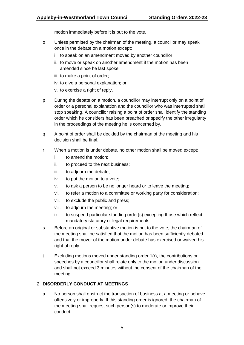motion immediately before it is put to the vote.

- o Unless permitted by the chairman of the meeting, a councillor may speak once in the debate on a motion except:
	- i. to speak on an amendment moved by another councillor;
	- ii. to move or speak on another amendment if the motion has been amended since he last spoke;
	- iii. to make a point of order;
	- iv. to give a personal explanation; or
	- v. to exercise a right of reply.
- p During the debate on a motion, a councillor may interrupt only on a point of order or a personal explanation and the councillor who was interrupted shall stop speaking. A councillor raising a point of order shall identify the standing order which he considers has been breached or specify the other irregularity in the proceedings of the meeting he is concerned by.
- q A point of order shall be decided by the chairman of the meeting and his decision shall be final.
- r When a motion is under debate, no other motion shall be moved except:
	- i. to amend the motion;
	- ii. to proceed to the next business;
	- iii. to adjourn the debate;
	- iv. to put the motion to a vote;
	- v. to ask a person to be no longer heard or to leave the meeting;
	- vi. to refer a motion to a committee or working party for consideration;
	- vii. to exclude the public and press;
	- viii. to adjourn the meeting; or
	- ix. to suspend particular standing order(s) excepting those which reflect mandatory statutory or legal requirements.
- s Before an original or substantive motion is put to the vote, the chairman of the meeting shall be satisfied that the motion has been sufficiently debated and that the mover of the motion under debate has exercised or waived his right of reply.
- t Excluding motions moved under standing order 1(r), the contributions or speeches by a councillor shall relate only to the motion under discussion and shall not exceed 3 minutes without the consent of the chairman of the meeting.

#### <span id="page-4-0"></span>2. **DISORDERLY CONDUCT AT MEETINGS**

a No person shall obstruct the transaction of business at a meeting or behave offensively or improperly. If this standing order is ignored, the chairman of the meeting shall request such person(s) to moderate or improve their conduct.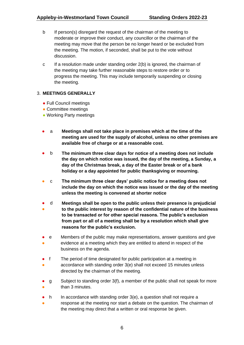- b If person(s) disregard the request of the chairman of the meeting to moderate or improve their conduct, any councillor or the chairman of the meeting may move that the person be no longer heard or be excluded from the meeting. The motion, if seconded, shall be put to the vote without discussion.
- c If a resolution made under standing order 2(b) is ignored, the chairman of the meeting may take further reasonable steps to restore order or to progress the meeting. This may include temporarily suspending or closing the meeting.

#### <span id="page-5-0"></span>3. **MEETINGS GENERALLY**

- Full Council meetings
- Committee meetings
- Working Party meetings
- a **Meetings shall not take place in premises which at the time of the meeting are used for the supply of alcohol, unless no other premises are available free of charge or at a reasonable cost.**
- b **The minimum three clear days for notice of a meeting does not include the day on which notice was issued, the day of the meeting, a Sunday, a day of the Christmas break, a day of the Easter break or of a bank holiday or a day appointed for public thanksgiving or mourning.**
- c **The minimum three clear days' public notice for a meeting does not include the day on which the notice was issued or the day of the meeting unless the meeting is convened at shorter notice**
- ● d **Meetings shall be open to the public unless their presence is prejudicial to the public interest by reason of the confidential nature of the business to be transacted or for other special reasons. The public's exclusion from part or all of a meeting shall be by a resolution which shall give reasons for the public's exclusion.**
- ● e Members of the public may make representations, answer questions and give evidence at a meeting which they are entitled to attend in respect of the business on the agenda.
- f The period of time designated for public participation at a meeting in
- accordance with standing order 3(e) shall not exceed 15 minutes unless directed by the chairman of the meeting.
- ● g Subject to standing order 3(f), a member of the public shall not speak for more than 3 minutes.
- h In accordance with standing order 3(e), a question shall not require a
- response at the meeting nor start a debate on the question. The chairman of the meeting may direct that a written or oral response be given.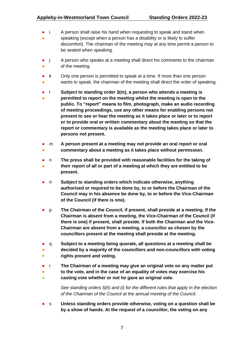- i A person shall raise his hand when requesting to speak and stand when
- speaking (except when a person has a disability or is likely to suffer discomfort). The chairman of the meeting may at any time permit a person to be seated when speaking.
- j ● A person who speaks at a meeting shall direct his comments to the chairman of the meeting.
- ● k Only one person is permitted to speak at a time. If more than one person wants to speak, the chairman of the meeting shall direct the order of speaking.
- l **Subject to standing order 3(m), a person who attends a meeting is**
- **permitted to report on the meeting whilst the meeting is open to the public. To "report" means to film, photograph, make an audio recording of meeting proceedings, use any other means for enabling persons not present to see or hear the meeting as it takes place or later or to report or to provide oral or written commentary about the meeting so that the report or commentary is available as the meeting takes place or later to persons not present.**
- ● m **A person present at a meeting may not provide an oral report or oral commentary about a meeting as it takes place without permission.**
- 
- ● n **The press shall be provided with reasonable facilities for the taking of their report of all or part of a meeting at which they are entitled to be present.**
- o **Subject to standing orders which indicate otherwise, anything authorised or required to be done by, to or before the Chairman of the Council may in his absence be done by, to or before the Vice-Chairman of the Council (if there is one).**
- p **The Chairman of the Council, if present, shall preside at a meeting. If the Chairman is absent from a meeting, the Vice-Chairman of the Council (if there is one) if present, shall preside. If both the Chairman and the Vice-Chairman are absent from a meeting, a councillor as chosen by the councillors present at the meeting shall preside at the meeting.**
- q **Subject to a meeting being quorate, all questions at a meeting shall be**
- $\bullet$ **decided by a majority of the councillors and non-councillors with voting rights present and voting.**
- r **The Chairman of a meeting may give an original vote on any matter put**
- **to the vote, and in the case of an equality of votes may exercise his**
- **casting vote whether or not he gave an original vote.**

*See standing orders 5(h) and (i) for the different rules that apply in the election of the Chairman of the Council at the annual meeting of the Council.*

● s **Unless standing orders provide otherwise, voting on a question shall be by a show of hands. At the request of a councillor, the voting on any**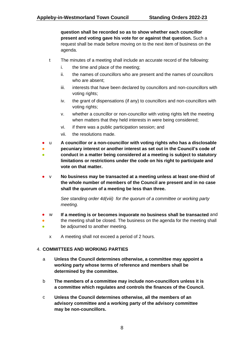**question shall be recorded so as to show whether each councillor present and voting gave his vote for or against that question.** Such a request shall be made before moving on to the next item of business on the agenda.

- t The minutes of a meeting shall include an accurate record of the following:
	- i. the time and place of the meeting;
	- ii. the names of councillors who are present and the names of councillors who are absent;
	- iii. interests that have been declared by councillors and non-councillors with voting rights;
	- iv. the grant of dispensations (if any) to councillors and non-councillors with voting rights;
	- v. whether a councillor or non-councillor with voting rights left the meeting when matters that they held interests in were being considered;
	- vi. if there was a public participation session; and
	- vii. the resolutions made.
- u **A councillor or a non-councillor with voting rights who has a disclosable**
- **pecuniary interest or another interest as set out in the Council's code of**
- **conduct in a matter being considered at a meeting is subject to statutory limitations or restrictions under the code on his right to participate and vote on that matter.**
- v **No business may be transacted at a meeting unless at least one-third of the whole number of members of the Council are present and in no case shall the quorum of a meeting be less than three.**

*See standing order 4d(viii) for the quorum of a committee or working party meeting.* 

- w **If a meeting is or becomes inquorate no business shall be transacted** and
- the meeting shall be closed. The business on the agenda for the meeting shall
- be adjourned to another meeting.
	- x A meeting shall not exceed a period of 2 hours.

#### <span id="page-7-0"></span>4. **COMMITTEES AND WORKING PARTIES**

- a **Unless the Council determines otherwise, a committee may appoint a working party whose terms of reference and members shall be determined by the committee.**
- b **The members of a committee may include non-councillors unless it is a committee which regulates and controls the finances of the Council.**
- c **Unless the Council determines otherwise, all the members of an advisory committee and a working party of the advisory committee may be non-councillors.**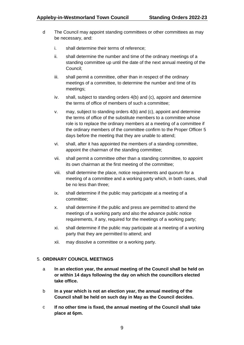- d The Council may appoint standing committees or other committees as may be necessary, and:
	- i. shall determine their terms of reference;
	- ii. shall determine the number and time of the ordinary meetings of a standing committee up until the date of the next annual meeting of the Council;
	- iii. shall permit a committee, other than in respect of the ordinary meetings of a committee, to determine the number and time of its meetings;
	- iv. shall, subject to standing orders 4(b) and (c), appoint and determine the terms of office of members of such a committee;
	- v. may, subject to standing orders 4(b) and (c), appoint and determine the terms of office of the substitute members to a committee whose role is to replace the ordinary members at a meeting of a committee if the ordinary members of the committee confirm to the Proper Officer 5 days before the meeting that they are unable to attend;
	- vi. shall, after it has appointed the members of a standing committee, appoint the chairman of the standing committee;
	- vii. shall permit a committee other than a standing committee, to appoint its own chairman at the first meeting of the committee;
	- viii. shall determine the place, notice requirements and quorum for a meeting of a committee and a working party which, in both cases, shall be no less than three;
	- ix. shall determine if the public may participate at a meeting of a committee;
	- x. shall determine if the public and press are permitted to attend the meetings of a working party and also the advance public notice requirements, if any, required for the meetings of a working party;
	- xi. shall determine if the public may participate at a meeting of a working party that they are permitted to attend; and
	- xii. may dissolve a committee or a working party.

#### <span id="page-8-0"></span>5. **ORDINARY COUNCIL MEETINGS**

- a **In an election year, the annual meeting of the Council shall be held on or within 14 days following the day on which the councillors elected take office.**
- b **In a year which is not an election year, the annual meeting of the Council shall be held on such day in May as the Council decides.**
- c **If no other time is fixed, the annual meeting of the Council shall take place at 6pm.**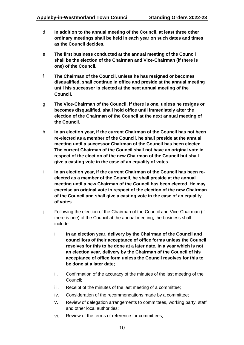- d **In addition to the annual meeting of the Council, at least three other ordinary meetings shall be held in each year on such dates and times as the Council decides.**
- e **The first business conducted at the annual meeting of the Council shall be the election of the Chairman and Vice-Chairman (if there is one) of the Council.**
- f **The Chairman of the Council, unless he has resigned or becomes disqualified, shall continue in office and preside at the annual meeting until his successor is elected at the next annual meeting of the Council.**
- g **The Vice-Chairman of the Council, if there is one, unless he resigns or becomes disqualified, shall hold office until immediately after the election of the Chairman of the Council at the next annual meeting of the Council.**
- h **In an election year, if the current Chairman of the Council has not been re-elected as a member of the Council, he shall preside at the annual meeting until a successor Chairman of the Council has been elected. The current Chairman of the Council shall not have an original vote in respect of the election of the new Chairman of the Council but shall give a casting vote in the case of an equality of votes.**
- i **In an election year, if the current Chairman of the Council has been reelected as a member of the Council, he shall preside at the annual meeting until a new Chairman of the Council has been elected. He may exercise an original vote in respect of the election of the new Chairman of the Council and shall give a casting vote in the case of an equality of votes.**
- j Following the election of the Chairman of the Council and Vice-Chairman (if there is one) of the Council at the annual meeting, the business shall include:
	- i. **In an election year, delivery by the Chairman of the Council and councillors of their acceptance of office forms unless the Council resolves for this to be done at a later date. In a year which is not an election year, delivery by the Chairman of the Council of his acceptance of office form unless the Council resolves for this to be done at a later date;**
	- ii. Confirmation of the accuracy of the minutes of the last meeting of the Council;
	- iii. Receipt of the minutes of the last meeting of a committee;
	- iv. Consideration of the recommendations made by a committee;
	- v. Review of delegation arrangements to committees, working party, staff and other local authorities;
	- vi. Review of the terms of reference for committees;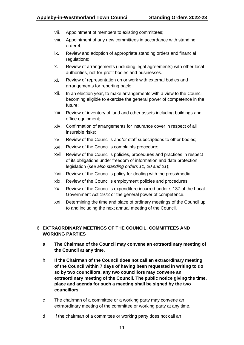- vii. Appointment of members to existing committees;
- viii. Appointment of any new committees in accordance with standing order 4;
- ix. Review and adoption of appropriate standing orders and financial regulations;
- x. Review of arrangements (including legal agreements) with other local authorities, not-for-profit bodies and businesses.
- xi. Review of representation on or work with external bodies and arrangements for reporting back;
- xii. In an election year, to make arrangements with a view to the Council becoming eligible to exercise the general power of competence in the future;
- xiii. Review of inventory of land and other assets including buildings and office equipment;
- xiv. Confirmation of arrangements for insurance cover in respect of all insurable risks;
- xv. Review of the Council's and/or staff subscriptions to other bodies;
- xvi. Review of the Council's complaints procedure;
- xvii. Review of the Council's policies, procedures and practices in respect of its obligations under freedom of information and data protection legislation (*see also standing orders 11, 20 and 21*);
- xviii. Review of the Council's policy for dealing with the press/media;
- xix. Review of the Council's employment policies and procedures;
- xx. Review of the Council's expenditure incurred under s.137 of the Local Government Act 1972 or the general power of competence.
- xxi. Determining the time and place of ordinary meetings of the Council up to and including the next annual meeting of the Council.

#### <span id="page-10-0"></span>6. **EXTRAORDINARY MEETINGS OF THE COUNCIL, COMMITTEES AND WORKING PARTIES**

- a **The Chairman of the Council may convene an extraordinary meeting of the Council at any time.**
- b **If the Chairman of the Council does not call an extraordinary meeting of the Council within 7 days of having been requested in writing to do so by two councillors, any two councillors may convene an extraordinary meeting of the Council. The public notice giving the time, place and agenda for such a meeting shall be signed by the two councillors.**
- c The chairman of a committee or a working party may convene an extraordinary meeting of the committee or working party at any time.
- d If the chairman of a committee or working party does not call an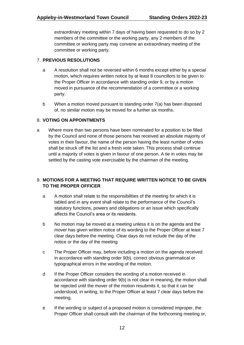extraordinary meeting within 7 days of having been requested to do so by 2 members of the committee or the working party, any 2 members of the committee or working party may convene an extraordinary meeting of the committee or working party.

#### <span id="page-11-0"></span>7. **PREVIOUS RESOLUTIONS**

- a A resolution shall not be reversed within 6 months except either by a special motion, which requires written notice by at least 8 councillors to be given to the Proper Officer in accordance with standing order 9, or by a motion moved in pursuance of the recommendation of a committee or a working party.
- b When a motion moved pursuant to standing order 7(a) has been disposed of, no similar motion may be moved for a further six months.

#### <span id="page-11-1"></span>8. **VOTING ON APPOINTMENTS**

a Where more than two persons have been nominated for a position to be filled by the Council and none of those persons has received an absolute majority of votes in their favour, the name of the person having the least number of votes shall be struck off the list and a fresh vote taken. This process shall continue until a majority of votes is given in favour of one person. A tie in votes may be settled by the casting vote exercisable by the chairman of the meeting.

#### <span id="page-11-2"></span>9. **MOTIONS FOR A MEETING THAT REQUIRE WRITTEN NOTICE TO BE GIVEN TO THE PROPER OFFICER**

- a A motion shall relate to the responsibilities of the meeting for which it is tabled and in any event shall relate to the performance of the Council's statutory functions, powers and obligations or an issue which specifically affects the Council's area or its residents.
- b No motion may be moved at a meeting unless it is on the agenda and the mover has given written notice of its wording to the Proper Officer at least 7 clear days before the meeting. Clear days do not include the day of the notice or the day of the meeting.
- c The Proper Officer may, before including a motion on the agenda received in accordance with standing order 9(b), correct obvious grammatical or typographical errors in the wording of the motion.
- d If the Proper Officer considers the wording of a motion received in accordance with standing order 9(b) is not clear in meaning, the motion shall be rejected until the mover of the motion resubmits it, so that it can be understood, in writing, to the Proper Officer at least 7 clear days before the meeting.
- e If the wording or subject of a proposed motion is considered improper, the Proper Officer shall consult with the chairman of the forthcoming meeting or,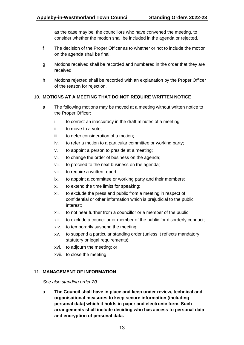as the case may be, the councillors who have convened the meeting, to consider whether the motion shall be included in the agenda or rejected.

- f The decision of the Proper Officer as to whether or not to include the motion on the agenda shall be final.
- g Motions received shall be recorded and numbered in the order that they are received.
- h Motions rejected shall be recorded with an explanation by the Proper Officer of the reason for rejection.

#### <span id="page-12-0"></span>10. **MOTIONS AT A MEETING THAT DO NOT REQUIRE WRITTEN NOTICE**

- a The following motions may be moved at a meeting without written notice to the Proper Officer:
	- i. to correct an inaccuracy in the draft minutes of a meeting;
	- ii. to move to a vote;
	- iii. to defer consideration of a motion;
	- iv. to refer a motion to a particular committee or working party;
	- v. to appoint a person to preside at a meeting;
	- vi. to change the order of business on the agenda;
	- vii. to proceed to the next business on the agenda;
	- viii. to require a written report;
	- ix. to appoint a committee or working party and their members;
	- x. to extend the time limits for speaking;
	- xi. to exclude the press and public from a meeting in respect of confidential or other information which is prejudicial to the public interest;
	- xii. to not hear further from a councillor or a member of the public;
	- xiii. to exclude a councillor or member of the public for disorderly conduct;
	- xiv. to temporarily suspend the meeting;
	- xv. to suspend a particular standing order (unless it reflects mandatory statutory or legal requirements):
	- xvi. to adjourn the meeting; or
	- xvii. to close the meeting.

#### <span id="page-12-1"></span>11. **MANAGEMENT OF INFORMATION**

*See also standing order 20.*

a **The Council shall have in place and keep under review, technical and organisational measures to keep secure information (including personal data) which it holds in paper and electronic form. Such arrangements shall include deciding who has access to personal data and encryption of personal data.**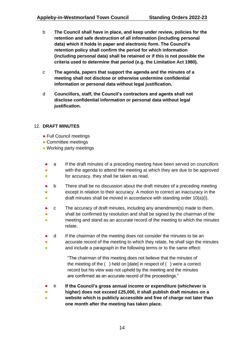- b **The Council shall have in place, and keep under review, policies for the retention and safe destruction of all information (including personal data) which it holds in paper and electronic form. The Council's retention policy shall confirm the period for which information (including personal data) shall be retained or if this is not possible the criteria used to determine that period (e.g. the Limitation Act 1980).**
- c **The agenda, papers that support the agenda and the minutes of a meeting shall not disclose or otherwise undermine confidential information or personal data without legal justification.**
- d **Councillors, staff, the Council's contractors and agents shall not disclose confidential information or personal data without legal justification.**

#### <span id="page-13-0"></span>12. **DRAFT MINUTES**

- Full Council meetings
- Committee meetings
- Working party meetings
- a If the draft minutes of a preceding meeting have been served on councillors
- ● with the agenda to attend the meeting at which they are due to be approved for accuracy, they shall be taken as read.
- ● b There shall be no discussion about the draft minutes of a preceding meeting except in relation to their accuracy. A motion to correct an inaccuracy in the
- draft minutes shall be moved in accordance with standing order 10(a)(i).
- c The accuracy of draft minutes, including any amendment(s) made to them,
- shall be confirmed by resolution and shall be signed by the chairman of the
- meeting and stand as an accurate record of the meeting to which the minutes relate.
- d If the chairman of the meeting does not consider the minutes to be an
- accurate record of the meeting to which they relate, he shall sign the minutes
- $\bullet$ and include a paragraph in the following terms or to the same effect:

"The chairman of this meeting does not believe that the minutes of the meeting of the ( ) held on [date] in respect of ( ) were a correct record but his view was not upheld by the meeting and the minutes are confirmed as an accurate record of the proceedings."

- e **If the Council's gross annual income or expenditure (whichever is**
- **higher) does not exceed £25,000, it shall publish draft minutes on a**
- **website which is publicly accessible and free of charge not later than one month after the meeting has taken place.**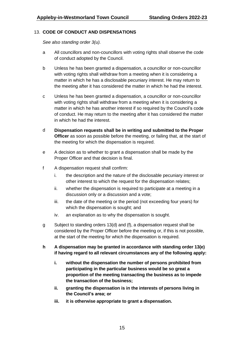#### <span id="page-14-0"></span>13. **CODE OF CONDUCT AND DISPENSATIONS**

*See also standing order 3(u).*

- a All councillors and non-councillors with voting rights shall observe the code of conduct adopted by the Council.
- b Unless he has been granted a dispensation, a councillor or non-councillor with voting rights shall withdraw from a meeting when it is considering a matter in which he has a disclosable pecuniary interest. He may return to the meeting after it has considered the matter in which he had the interest.
- c Unless he has been granted a dispensation, a councillor or non-councillor with voting rights shall withdraw from a meeting when it is considering a matter in which he has another interest if so required by the Council's code of conduct. He may return to the meeting after it has considered the matter in which he had the interest.
- d **Dispensation requests shall be in writing and submitted to the Proper Officer** as soon as possible before the meeting, or failing that, at the start of the meeting for which the dispensation is required.
- e A decision as to whether to grant a dispensation shall be made by the Proper Officer and that decision is final.
- f A dispensation request shall confirm:
	- i. the description and the nature of the disclosable pecuniary interest or other interest to which the request for the dispensation relates;
	- ii. whether the dispensation is required to participate at a meeting in a discussion only or a discussion and a vote;
	- iii. the date of the meeting or the period (not exceeding four years) for which the dispensation is sought; and
	- iv. an explanation as to why the dispensation is sought.
- g Subject to standing orders 13(d) and (f), a dispensation request shall be considered by the Proper Officer before the meeting or, if this is not possible, at the start of the meeting for which the dispensation is required.
- **h A dispensation may be granted in accordance with standing order 13(e) if having regard to all relevant circumstances any of the following apply:**
	- **i. without the dispensation the number of persons prohibited from participating in the particular business would be so great a proportion of the meeting transacting the business as to impede the transaction of the business;**
	- **ii. granting the dispensation is in the interests of persons living in the Council's area; or**
	- **iii. it is otherwise appropriate to grant a dispensation.**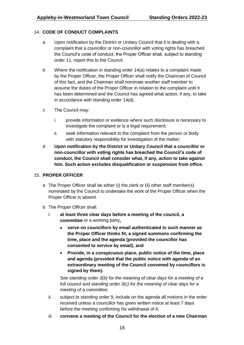#### <span id="page-15-0"></span>14. **CODE OF CONDUCT COMPLAINTS**

- a Upon notification by the District or Unitary Council that it is dealing with a complaint that a councillor or non-councillor with voting rights has breached the Council's code of conduct, the Proper Officer shall, subject to standing order 11, report this to the Council.
- b Where the notification in standing order 14(a) relates to a complaint made by the Proper Officer, the Proper Officer shall notify the Chairman of Council of this fact, and the Chairman shall nominate another staff member to assume the duties of the Proper Officer in relation to the complaint until it has been determined and the Council has agreed what action, if any, to take in accordance with standing order 14(d).
- c The Council may:
	- i. provide information or evidence where such disclosure is necessary to investigate the complaint or is a legal requirement;
	- ii. seek information relevant to the complaint from the person or body with statutory responsibility for investigation of the matter;
- d **Upon notification by the District or Unitary Council that a councillor or non-councillor with voting rights has breached the Council's code of conduct, the Council shall consider what, if any, action to take against him. Such action excludes disqualification or suspension from office.**

#### <span id="page-15-1"></span>15. **PROPER OFFICER**

- a The Proper Officer shall be either (i) the clerk or (ii) other staff member(s) nominated by the Council to undertake the work of the Proper Officer when the Proper Officer is absent.
- b The Proper Officer shall:
	- i. **at least three clear days before a meeting of the council, a committee** or a working party**,**
		- **serve on councillors by email authenticated in such manner as the Proper Officer thinks fit, a signed summons confirming the time, place and the agenda (provided the councillor has consented to service by email), and**
		- **Provide, in a conspicuous place, public notice of the time, place and agenda (provided that the public notice with agenda of an extraordinary meeting of the Council convened by councillors is signed by them).**

*See standing order 3(b) for the meaning of clear days for a meeting of a full council and standing order 3(c) for the meaning of clear days for a meeting of a committee;*

- ii. subject to standing order 9, include on the agenda all motions in the order received unless a councillor has given written notice at least 7 days before the meeting confirming his withdrawal of it;
- iii. **convene a meeting of the Council for the election of a new Chairman**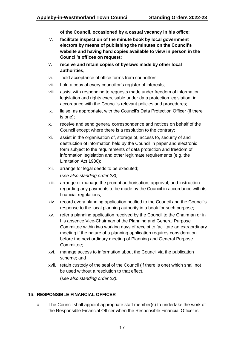**of the Council, occasioned by a casual vacancy in his office;**

- iv. **facilitate inspection of the minute book by local government electors by means of publishing the minutes on the Council's website and having hard copies available to view in person in the Council's offices on request;**
- v. **receive and retain copies of byelaws made by other local authorities;**
- vi. hold acceptance of office forms from councillors;
- vii. hold a copy of every councillor's register of interests;
- viii. assist with responding to requests made under freedom of information legislation and rights exercisable under data protection legislation, in accordance with the Council's relevant policies and procedures;
- ix. liaise, as appropriate, with the Council's Data Protection Officer (if there is one);
- x. receive and send general correspondence and notices on behalf of the Council except where there is a resolution to the contrary;
- xi. assist in the organisation of, storage of, access to, security of and destruction of information held by the Council in paper and electronic form subject to the requirements of data protection and freedom of information legislation and other legitimate requirements (e.g. the Limitation Act 1980);
- xii. arrange for legal deeds to be executed;

(*see also standing order 23);*

- xiii. arrange or manage the prompt authorisation, approval, and instruction regarding any payments to be made by the Council in accordance with its financial regulations;
- xiv. record every planning application notified to the Council and the Council's response to the local planning authority in a book for such purpose;
- xv. refer a planning application received by the Council to the Chairman or in his absence Vice-Chairman of the Planning and General Purpose Committee within two working days of receipt to facilitate an extraordinary meeting if the nature of a planning application requires consideration before the next ordinary meeting of Planning and General Purpose Committee;
- xvi. manage access to information about the Council via the publication scheme; and
- xvii. retain custody of the seal of the Council (if there is one) which shall not be used without a resolution to that effect. (s*ee also standing order 23).*

#### <span id="page-16-0"></span>16. **RESPONSIBLE FINANCIAL OFFICER**

a The Council shall appoint appropriate staff member(s) to undertake the work of the Responsible Financial Officer when the Responsible Financial Officer is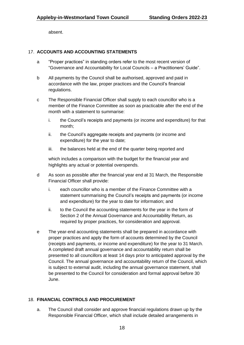absent.

#### <span id="page-17-0"></span>17. **ACCOUNTS AND ACCOUNTING STATEMENTS**

- a "Proper practices" in standing orders refer to the most recent version of "Governance and Accountability for Local Councils – a Practitioners' Guide".
- b All payments by the Council shall be authorised, approved and paid in accordance with the law, proper practices and the Council's financial regulations.
- c The Responsible Financial Officer shall supply to each councillor who is a member of the Finance Committee as soon as practicable after the end of the month with a statement to summarise:
	- i. the Council's receipts and payments (or income and expenditure) for that month;
	- ii. the Council's aggregate receipts and payments (or income and expenditure) for the year to date;
	- iii. the balances held at the end of the quarter being reported and

which includes a comparison with the budget for the financial year and highlights any actual or potential overspends.

- d As soon as possible after the financial year end at 31 March, the Responsible Financial Officer shall provide:
	- i. each councillor who is a member of the Finance Committee with a statement summarising the Council's receipts and payments (or income and expenditure) for the year to date for information; and
	- ii. to the Council the accounting statements for the year in the form of Section 2 of the Annual Governance and Accountability Return, as required by proper practices, for consideration and approval.
- e The year-end accounting statements shall be prepared in accordance with proper practices and apply the form of accounts determined by the Council (receipts and payments, or income and expenditure) for the year to 31 March. A completed draft annual governance and accountability return shall be presented to all councillors at least 14 days prior to anticipated approval by the Council. The annual governance and accountability return of the Council, which is subject to external audit, including the annual governance statement, shall be presented to the Council for consideration and formal approval before 30 June.

#### <span id="page-17-1"></span>18. **FINANCIAL CONTROLS AND PROCUREMENT**

a. The Council shall consider and approve financial regulations drawn up by the Responsible Financial Officer, which shall include detailed arrangements in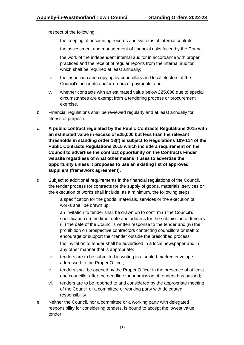respect of the following:

- i. the keeping of accounting records and systems of internal controls;
- ii. the assessment and management of financial risks faced by the Council;
- iii. the work of the independent internal auditor in accordance with proper practices and the receipt of regular reports from the internal auditor, which shall be required at least annually;
- iv. the inspection and copying by councillors and local electors of the Council's accounts and/or orders of payments; and
- v. whether contracts with an estimated value below **£25,000** due to special circumstances are exempt from a tendering process or procurement exercise.
- b. Financial regulations shall be reviewed regularly and at least annually for fitness of purpose.
- c. **A public contract regulated by the Public Contracts Regulations 2015 with an estimated value in excess of £25,000 but less than the relevant thresholds in standing order 18(f) is subject to Regulations 109-114 of the Public Contracts Regulations 2015 which include a requirement on the Council to advertise the contract opportunity on the Contracts Finder website regardless of what other means it uses to advertise the opportunity unless it proposes to use an existing list of approved suppliers (framework agreement).**
- d. Subject to additional requirements in the financial regulations of the Council, the tender process for contracts for the supply of goods, materials, services or the execution of works shall include, as a minimum, the following steps:
	- i. a specification for the goods, materials, services or the execution of works shall be drawn up;
	- ii. an invitation to tender shall be drawn up to confirm (i) the Council's specification (ii) the time, date and address for the submission of tenders (iii) the date of the Council's written response to the tender and (iv) the prohibition on prospective contractors contacting councillors or staff to encourage or support their tender outside the prescribed process;
	- iii. the invitation to tender shall be advertised in a local newspaper and in any other manner that is appropriate;
	- iv. tenders are to be submitted in writing in a sealed marked envelope addressed to the Proper Officer;
	- v. tenders shall be opened by the Proper Officer in the presence of at least one councillor after the deadline for submission of tenders has passed;
	- vi. tenders are to be reported to and considered by the appropriate meeting of the Council or a committee or working party with delegated responsibility.
- e. Neither the Council, nor a committee or a working party with delegated responsibility for considering tenders, is bound to accept the lowest value tender.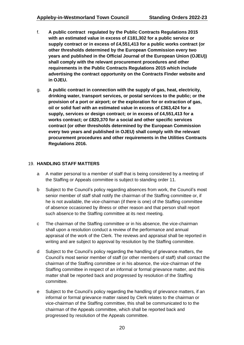- f. **A public contract regulated by the Public Contracts Regulations 2015 with an estimated value in excess of £181,302 for a public service or supply contract or in excess of £4,551,413 for a public works contract (or other thresholds determined by the European Commission every two years and published in the Official Journal of the European Union (OJEU)) shall comply with the relevant procurement procedures and other requirements in the Public Contracts Regulations 2015 which include advertising the contract opportunity on the Contracts Finder website and in OJEU.**
- g. **A public contract in connection with the supply of gas, heat, electricity, drinking water, transport services, or postal services to the public; or the provision of a port or airport; or the exploration for or extraction of gas, oil or solid fuel with an estimated value in excess of £363,424 for a supply, services or design contract; or in excess of £4,551,413 for a works contract; or £820,370 for a social and other specific services contract (or other thresholds determined by the European Commission every two years and published in OJEU) shall comply with the relevant procurement procedures and other requirements in the Utilities Contracts Regulations 2016.**

#### <span id="page-19-0"></span>19. **HANDLING STAFF MATTERS**

- a A matter personal to a member of staff that is being considered by a meeting of the Staffing or Appeals committee is subject to standing order 11.
- b Subject to the Council's policy regarding absences from work, the Council's most senior member of staff shall notify the chairman of the Staffing committee or, if he is not available, the vice-chairman (if there is one) of the Staffing committee of absence occasioned by illness or other reason and that person shall report such absence to the Staffing committee at its next meeting.
- c The chairman of the Staffing committee or in his absence, the vice-chairman shall upon a resolution conduct a review of the performance and annual appraisal of the work of the Clerk. The reviews and appraisal shall be reported in writing and are subject to approval by resolution by the Staffing committee.
- d Subject to the Council's policy regarding the handling of grievance matters, the Council's most senior member of staff (or other members of staff) shall contact the chairman of the Staffing committee or in his absence, the vice-chairman of the Staffing committee in respect of an informal or formal grievance matter, and this matter shall be reported back and progressed by resolution of the Staffing committee.
- e Subject to the Council's policy regarding the handling of grievance matters, if an informal or formal grievance matter raised by Clerk relates to the chairman or vice-chairman of the Staffing committee, this shall be communicated to to the chairman of the Appeals committee, which shall be reported back and progressed by resolution of the Appeals committee.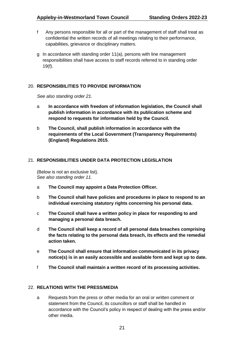- f Any persons responsible for all or part of the management of staff shall treat as confidential the written records of all meetings relating to their performance, capabilities, grievance or disciplinary matters.
- g In accordance with standing order 11(a), persons with line management responsibilities shall have access to staff records referred to in standing order 19(f).

#### <span id="page-20-0"></span>20. **RESPONSIBILITIES TO PROVIDE INFORMATION**

*See also standing order 21.*

- a **In accordance with freedom of information legislation, the Council shall publish information in accordance with its publication scheme and respond to requests for information held by the Council.**
- b **The Council, shall publish information in accordance with the requirements of the Local Government (Transparency Requirements) (England) Regulations 2015**.

#### <span id="page-20-1"></span>21. **RESPONSIBILITIES UNDER DATA PROTECTION LEGISLATION**

(Below is not an exclusive list). *See also standing order 11.*

- a **The Council may appoint a Data Protection Officer.**
- b **The Council shall have policies and procedures in place to respond to an individual exercising statutory rights concerning his personal data.**
- c **The Council shall have a written policy in place for responding to and managing a personal data breach.**
- d **The Council shall keep a record of all personal data breaches comprising the facts relating to the personal data breach, its effects and the remedial action taken.**
- e **The Council shall ensure that information communicated in its privacy notice(s) is in an easily accessible and available form and kept up to date.**
- f **The Council shall maintain a written record of its processing activities.**

#### <span id="page-20-2"></span>22. **RELATIONS WITH THE PRESS/MEDIA**

a Requests from the press or other media for an oral or written comment or statement from the Council, its councillors or staff shall be handled in accordance with the Council's policy in respect of dealing with the press and/or other media.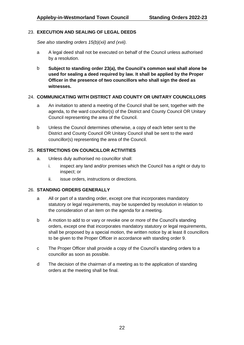#### <span id="page-21-0"></span>23. **EXECUTION AND SEALING OF LEGAL DEEDS**

*See also standing orders 15(b)(xii) and (xvii).*

- a A legal deed shall not be executed on behalf of the Council unless authorised by a resolution.
- b **Subject to standing order 23(a), the Council's common seal shall alone be used for sealing a deed required by law. It shall be applied by the Proper Officer in the presence of two councillors who shall sign the deed as witnesses.**

#### <span id="page-21-1"></span>24. **COMMUNICATING WITH DISTRICT AND COUNTY OR UNITARY COUNCILLORS**

- a An invitation to attend a meeting of the Council shall be sent, together with the agenda, to the ward councillor(s) of the District and County Council OR Unitary Council representing the area of the Council.
- b Unless the Council determines otherwise, a copy of each letter sent to the District and County Council OR Unitary Council shall be sent to the ward councillor(s) representing the area of the Council.

#### <span id="page-21-2"></span>25. **RESTRICTIONS ON COUNCILLOR ACTIVITIES**

- a. Unless duly authorised no councillor shall:
	- i. inspect any land and/or premises which the Council has a right or duty to inspect; or
	- ii. issue orders, instructions or directions.

#### <span id="page-21-3"></span>26. **STANDING ORDERS GENERALLY**

- a All or part of a standing order, except one that incorporates mandatory statutory or legal requirements, may be suspended by resolution in relation to the consideration of an item on the agenda for a meeting.
- b A motion to add to or vary or revoke one or more of the Council's standing orders, except one that incorporates mandatory statutory or legal requirements, shall be proposed by a special motion, the written notice by at least 8 councillors to be given to the Proper Officer in accordance with standing order 9.
- c The Proper Officer shall provide a copy of the Council's standing orders to a councillor as soon as possible.
- d The decision of the chairman of a meeting as to the application of standing orders at the meeting shall be final.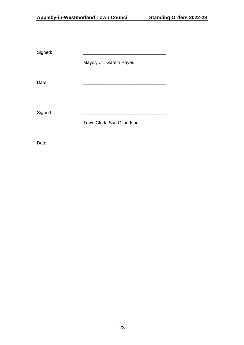Signed:

Mayor, Cllr Gareth Hayes

Date: \_\_\_\_\_\_\_\_\_\_\_\_\_\_\_\_\_\_\_\_\_\_\_\_\_\_\_\_\_\_\_\_\_

Signed:

Town Clerk, Sue Gilbertson

Date: \_\_\_\_\_\_\_\_\_\_\_\_\_\_\_\_\_\_\_\_\_\_\_\_\_\_\_\_\_\_\_\_\_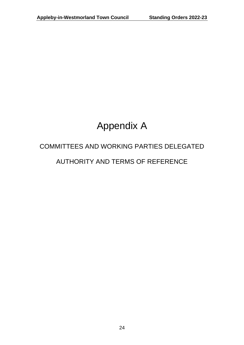## Appendix A

# COMMITTEES AND WORKING PARTIES DELEGATED

### AUTHORITY AND TERMS OF REFERENCE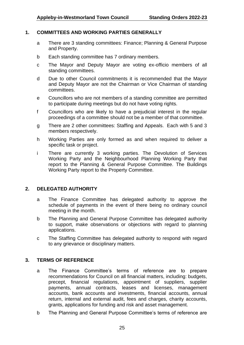#### **1. COMMITTEES AND WORKING PARTIES GENERALLY**

- a There are 3 standing committees: Finance; Planning & General Purpose and Property.
- b Each standing committee has 7 ordinary members.
- c The Mayor and Deputy Mayor are voting ex-officio members of all standing committees.
- d Due to other Council commitments it is recommended that the Mayor and Deputy Mayor are not the Chairman or Vice Chairman of standing committees.
- e Councillors who are not members of a standing committee are permitted to participate during meetings but do not have voting rights.
- f Councillors who are likely to have a prejudicial interest in the regular proceedings of a committee should not be a member of that committee.
- g There are 2 other committees: Staffing and Appeals. Each with 5 and 3 members respectively.
- h Working Parties are only formed as and when required to deliver a specific task or project.
- i There are currently 3 working parties. The Devolution of Services Working Party and the Neighbourhood Planning Working Party that report to the Planning & General Purpose Committee. The Buildings Working Party report to the Property Committee.

#### **2. DELEGATED AUTHORITY**

- a The Finance Committee has delegated authority to approve the schedule of payments in the event of there being no ordinary council meeting in the month.
- b The Planning and General Purpose Committee has delegated authority to support, make observations or objections with regard to planning applications.
- c The Staffing Committee has delegated authority to respond with regard to any grievance or disciplinary matters.

#### **3. TERMS OF REFERENCE**

- a The Finance Committee's terms of reference are to prepare recommendations for Council on all financial matters, including: budgets, precept, financial regulations, appointment of suppliers, supplier payments, annual contracts, leases and licenses, management accounts, bank accounts and investments, financial accounts, annual return, internal and external audit, fees and charges, charity accounts, grants, applications for funding and risk and asset management.
- b The Planning and General Purpose Committee's terms of reference are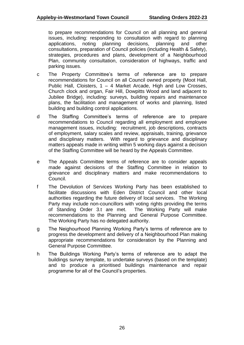to prepare recommendations for Council on all planning and general issues, including: responding to consultation with regard to planning applications, noting planning decisions, planning and other consultations, preparation of Council policies (including Health & Safety), strategies, procedures and plans, development of a Neighbourhood Plan, community consultation, consideration of highways, traffic and parking issues.

- c The Property Committee's terms of reference are to prepare recommendations for Council on all Council owned property (Moot Hall, Public Hall, Cloisters, 1 – 4 Market Arcade, High and Low Crosses, Church clock and organ, Fair Hill, Dowpitts Wood and land adjacent to Jubilee Bridge), including: surveys, building repairs and maintenance plans, the facilitation and management of works and planning, listed building and building control applications.
- d The Staffing Committee's terms of reference are to prepare recommendations to Council regarding all employment and employee management issues, including: recruitment, job descriptions, contracts of employment, salary scales and review, appraisals, training, grievance and disciplinary matters. With regard to grievance and disciplinary matters appeals made in writing within 5 working days against a decision of the Staffing Committee will be heard by the Appeals Committee.
- e The Appeals Committee terms of reference are to consider appeals made against decisions of the Staffing Committee in relation to grievance and disciplinary matters and make recommendations to Council.
- f The Devolution of Services Working Party has been established to facilitate discussions with Eden District Council and other local authorities regarding the future delivery of local services. The Working Party may include non-councillors with voting rights providing the terms of Standing Order 3.t are met. The Working Party will make recommendations to the Planning and General Purpose Committee. The Working Party has no delegated authority.
- g The Neighourhood Planning Working Party's terms of reference are to progress the development and delivery of a Neighbourhood Plan making appropriate recommendations for consideration by the Planning and General Purpose Committee.
- h The Buildings Working Party's terms of reference are to adapt the buildings survey template, to undertake surveys (based on the template) and to produce a prioritised buildings maintenance and repair programme for all of the Council's properties.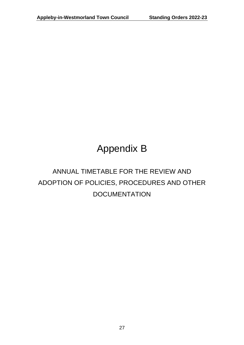## Appendix B

### ANNUAL TIMETABLE FOR THE REVIEW AND ADOPTION OF POLICIES, PROCEDURES AND OTHER **DOCUMENTATION**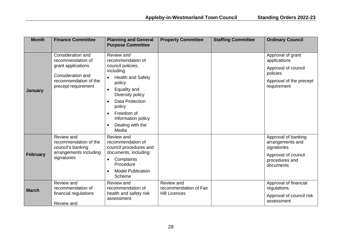| <b>Month</b>    | <b>Finance Committee</b>                                                                                                          | <b>Planning and General</b><br><b>Purpose Committee</b>                                                                                                                                                                                                                     | <b>Property Committee</b>                                    | <b>Staffing Committee</b> | <b>Ordinary Council</b>                                                                                        |
|-----------------|-----------------------------------------------------------------------------------------------------------------------------------|-----------------------------------------------------------------------------------------------------------------------------------------------------------------------------------------------------------------------------------------------------------------------------|--------------------------------------------------------------|---------------------------|----------------------------------------------------------------------------------------------------------------|
| <b>January</b>  | Consideration and<br>recommendation of<br>grant applications<br>Consideration and<br>recommendation of the<br>precept requirement | Review and<br>recommendation of<br>council policies,<br>including:<br><b>Health and Safety</b><br>policy<br>Equality and<br>Diversity policy<br><b>Data Protection</b><br>$\bullet$<br>policy<br>Freedom of<br>$\bullet$<br>Information policy<br>Dealing with the<br>Media |                                                              |                           | Approval of grant<br>applications<br>Approval of council<br>policies<br>Approval of the precept<br>requirement |
| <b>February</b> | Review and<br>recommendation of the<br>council's banking<br>arrangements including<br>signatories                                 | Review and<br>recommendation of<br>council procedures and<br>documents, including:<br>Complaints<br>Procedure<br><b>Model Publication</b><br>Scheme                                                                                                                         |                                                              |                           | Approval of banking<br>arrangements and<br>signatories<br>Approval of council<br>procedures and<br>documents   |
| <b>March</b>    | Review and<br>recommendation of<br>financial regulations<br>Review and                                                            | Review and<br>recommendation of<br>health and safety risk<br>assessment                                                                                                                                                                                                     | Review and<br>recommendation of Fair<br><b>Hill Licences</b> |                           | Approval of financial<br>regulations<br>Approval of council risk<br>assessment                                 |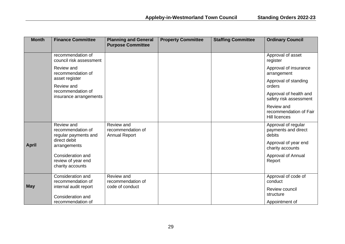| <b>Month</b> | <b>Finance Committee</b>                                    | <b>Planning and General</b><br><b>Purpose Committee</b> | <b>Property Committee</b> | <b>Staffing Committee</b> | <b>Ordinary Council</b>                                      |
|--------------|-------------------------------------------------------------|---------------------------------------------------------|---------------------------|---------------------------|--------------------------------------------------------------|
|              | recommendation of<br>council risk assessment                |                                                         |                           |                           | Approval of asset<br>register                                |
|              | Review and<br>recommendation of                             |                                                         |                           |                           | Approval of insurance<br>arrangement                         |
|              | asset register<br>Review and                                |                                                         |                           |                           | Approval of standing<br>orders                               |
|              | recommendation of<br>insurance arrangements                 |                                                         |                           |                           | Approval of health and<br>safety risk assessment             |
|              |                                                             |                                                         |                           |                           | Review and<br>recommendation of Fair<br><b>Hill licences</b> |
|              | Review and<br>recommendation of<br>regular payments and     | Review and<br>recommendation of<br><b>Annual Report</b> |                           |                           | Approval of regular<br>payments and direct<br>debits         |
| <b>April</b> | direct debit<br>arrangements                                |                                                         |                           |                           | Approval of year end<br>charity accounts                     |
|              | Consideration and<br>review of year end<br>charity accounts |                                                         |                           |                           | Approval of Annual<br>Report                                 |
|              | Consideration and<br>recommendation of                      | Review and<br>recommendation of                         |                           |                           | Approval of code of<br>conduct                               |
| <b>May</b>   | internal audit report<br>Consideration and                  | code of conduct                                         |                           |                           | Review council<br>structure                                  |
|              | recommendation of                                           |                                                         |                           |                           | Appointment of                                               |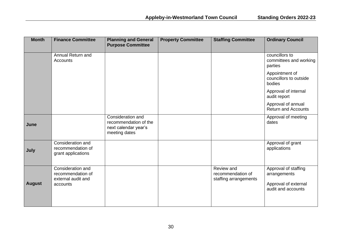| <b>Month</b>  | <b>Finance Committee</b>                                                 | <b>Planning and General</b><br><b>Purpose Committee</b>                             | <b>Property Committee</b> | <b>Staffing Committee</b>                                | <b>Ordinary Council</b>                                                            |
|---------------|--------------------------------------------------------------------------|-------------------------------------------------------------------------------------|---------------------------|----------------------------------------------------------|------------------------------------------------------------------------------------|
|               | Annual Return and<br>Accounts                                            |                                                                                     |                           |                                                          | councillors to<br>committees and working<br>parties                                |
|               |                                                                          |                                                                                     |                           |                                                          | Appointment of<br>councillors to outside<br>bodies                                 |
|               |                                                                          |                                                                                     |                           |                                                          | Approval of internal<br>audit report                                               |
|               |                                                                          |                                                                                     |                           |                                                          | Approval of annual<br><b>Return and Accounts</b>                                   |
| June          |                                                                          | Consideration and<br>recommendation of the<br>next calendar year's<br>meeting dates |                           |                                                          | Approval of meeting<br>dates                                                       |
| July          | Consideration and<br>recommendation of<br>grant applications             |                                                                                     |                           |                                                          | Approval of grant<br>applications                                                  |
| <b>August</b> | Consideration and<br>recommendation of<br>external audit and<br>accounts |                                                                                     |                           | Review and<br>recommendation of<br>staffing arrangements | Approval of staffing<br>arrangements<br>Approval of external<br>audit and accounts |